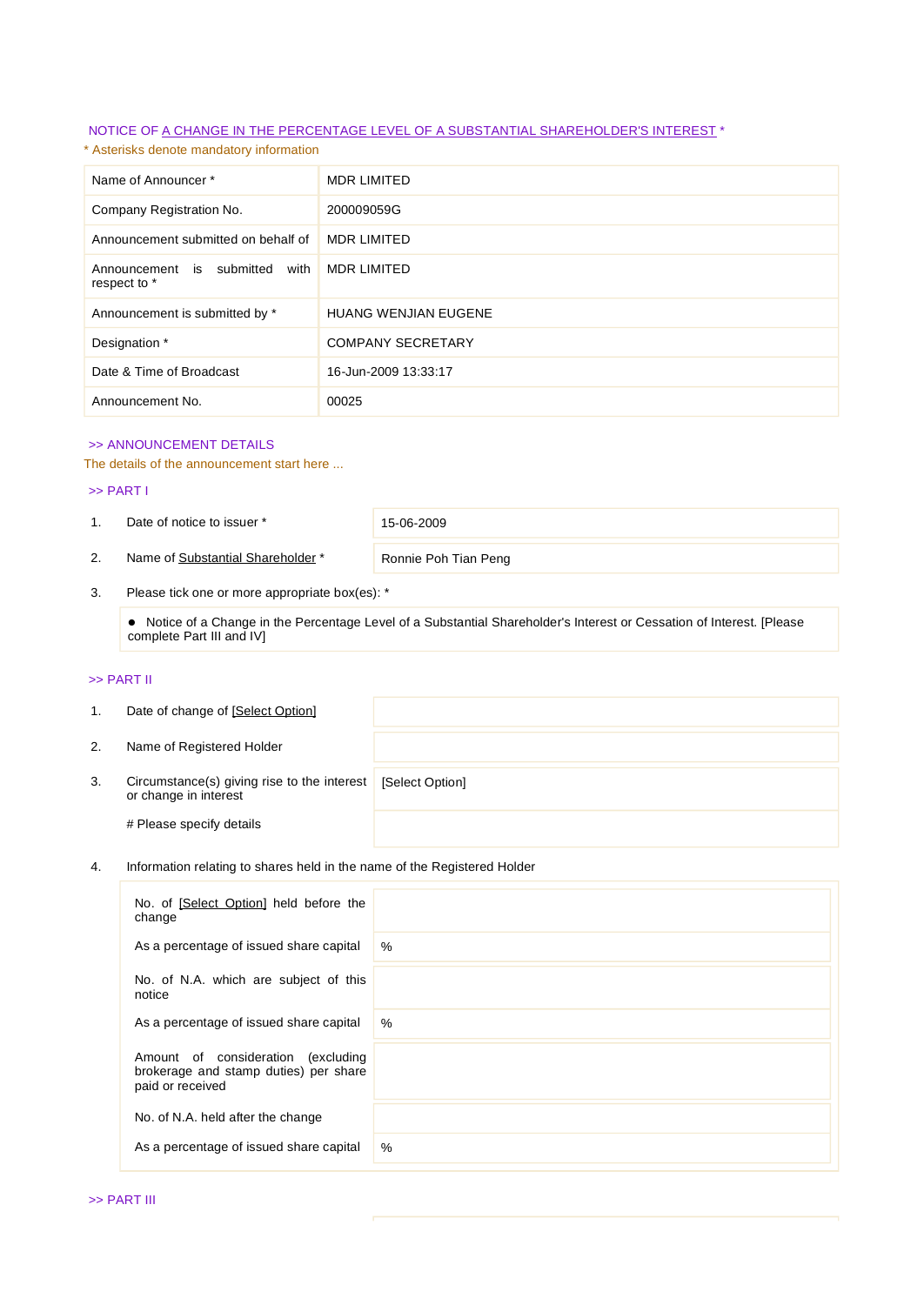## NOTICE OF A CHANGE IN THE PERCENTAGE LEVEL OF A SUBSTANTIAL SHAREHOLDER'S INTEREST \*

\* Asterisks denote mandatory information

| Name of Announcer*                                | <b>MDR LIMITED</b>          |
|---------------------------------------------------|-----------------------------|
| Company Registration No.                          | 200009059G                  |
| Announcement submitted on behalf of               | <b>MDR LIMITED</b>          |
| Announcement is submitted<br>with<br>respect to * | <b>MDR LIMITED</b>          |
| Announcement is submitted by *                    | <b>HUANG WENJIAN EUGENE</b> |
| Designation *                                     | <b>COMPANY SECRETARY</b>    |
| Date & Time of Broadcast                          | 16-Jun-2009 13:33:17        |
| Announcement No.                                  | 00025                       |

### >> ANNOUNCEMENT DETAILS

The details of the announcement start here ...

#### >> PART I

1. Date of notice to issuer \* 15-06-2009

2. Name of Substantial Shareholder \* Ronnie Poh Tian Peng

3. Please tick one or more appropriate box(es): \*

 Notice of a Change in the Percentage Level of a Substantial Shareholder's Interest or Cessation of Interest. [Please complete Part III and IV]

## >> PART II

| 1. | Date of change of [Select Option]                                    |                 |
|----|----------------------------------------------------------------------|-----------------|
| 2. | Name of Registered Holder                                            |                 |
| 3. | Circumstance(s) giving rise to the interest<br>or change in interest | [Select Option] |
|    | # Please specify details                                             |                 |

## 4. Information relating to shares held in the name of the Registered Holder

| No. of [Select Option] held before the<br>change                                                   |      |
|----------------------------------------------------------------------------------------------------|------|
| As a percentage of issued share capital                                                            | $\%$ |
| No. of N.A. which are subject of this<br>notice                                                    |      |
| As a percentage of issued share capital                                                            | $\%$ |
| Amount of consideration<br>(excluding<br>brokerage and stamp duties) per share<br>paid or received |      |
| No. of N.A. held after the change                                                                  |      |
| As a percentage of issued share capital                                                            | %    |